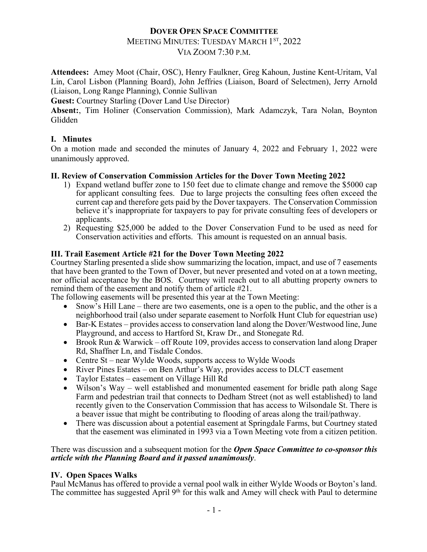# **DOVER OPEN SPACE COMMITTEE**

# MEETING MINUTES: TUESDAY MARCH 1ST, 2022

VIA ZOOM 7:30 P.M.

**Attendees:** Amey Moot (Chair, OSC), Henry Faulkner, Greg Kahoun, Justine Kent-Uritam, Val Lin, Carol Lisbon (Planning Board), John Jeffries (Liaison, Board of Selectmen), Jerry Arnold (Liaison, Long Range Planning), Connie Sullivan

**Guest:** Courtney Starling (Dover Land Use Director)

**Absent:**, Tim Holiner (Conservation Commission), Mark Adamczyk, Tara Nolan, Boynton Glidden

## **I. Minutes**

On a motion made and seconded the minutes of January 4, 2022 and February 1, 2022 were unanimously approved.

## **II. Review of Conservation Commission Articles for the Dover Town Meeting 2022**

- 1) Expand wetland buffer zone to 150 feet due to climate change and remove the \$5000 cap for applicant consulting fees. Due to large projects the consulting fees often exceed the current cap and therefore gets paid by the Dover taxpayers. The Conservation Commission believe it's inappropriate for taxpayers to pay for private consulting fees of developers or applicants.
- 2) Requesting \$25,000 be added to the Dover Conservation Fund to be used as need for Conservation activities and efforts. This amount is requested on an annual basis.

## **III. Trail Easement Article #21 for the Dover Town Meeting 2022**

Courtney Starling presented a slide show summarizing the location, impact, and use of 7 easements that have been granted to the Town of Dover, but never presented and voted on at a town meeting, nor official acceptance by the BOS. Courtney will reach out to all abutting property owners to remind them of the easement and notify them of article #21.

The following easements will be presented this year at the Town Meeting:

- Snow's Hill Lane there are two easements, one is a open to the public, and the other is a neighborhood trail (also under separate easement to Norfolk Hunt Club for equestrian use)
- Bar-K Estates provides access to conservation land along the Dover/Westwood line, June Playground, and access to Hartford St, Kraw Dr., and Stonegate Rd.
- Brook Run & Warwick off Route 109, provides access to conservation land along Draper Rd, Shaffner Ln, and Tisdale Condos.
- Centre St near Wylde Woods, supports access to Wylde Woods
- River Pines Estates on Ben Arthur's Way, provides access to DLCT easement
- Taylor Estates easement on Village Hill Rd
- Wilson's Way well established and monumented easement for bridle path along Sage Farm and pedestrian trail that connects to Dedham Street (not as well established) to land recently given to the Conservation Commission that has access to Wilsondale St. There is a beaver issue that might be contributing to flooding of areas along the trail/pathway.
- There was discussion about a potential easement at Springdale Farms, but Courtney stated that the easement was eliminated in 1993 via a Town Meeting vote from a citizen petition.

#### There was discussion and a subsequent motion for the *Open Space Committee to co-sponsor this article with the Planning Board and it passed unanimously*.

#### **IV. Open Spaces Walks**

Paul McManus has offered to provide a vernal pool walk in either Wylde Woods or Boyton's land. The committee has suggested April 9<sup>th</sup> for this walk and Amey will check with Paul to determine